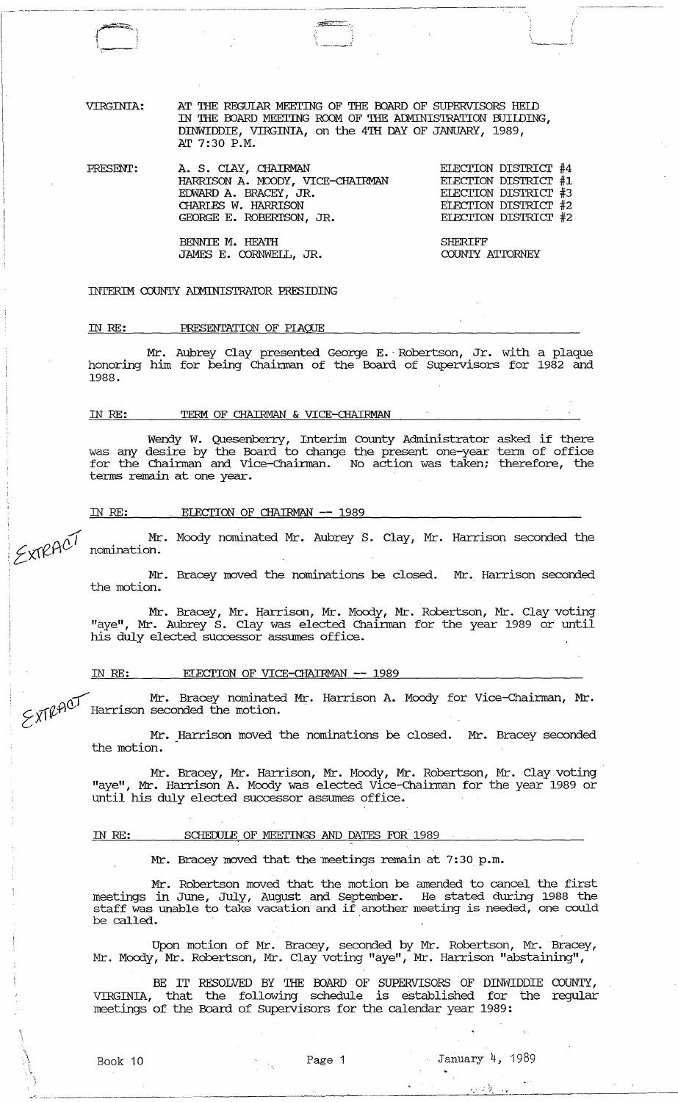AT THE REGULAR MEETING OF THE BOARD OF SUPERVISORS HELD IN THE BOARD MEETING ROOM OF THE ADMINISTRATION BUILDING, DINWIDDIE, VIRGINIA, on the 4TH DAY OF JANUARY, 1989, AT 7:30 P.M.

 $\mathcal{A}$  . The set of  $\mathcal{A}$ *-, \_\_\_* ~-.i

PRESENT:

 $r$ <sup> $\sim$ </sup>) ! I I I I  $\Box$ 

VIRGINIA:

A. S. CIAY, CHAIRMAN HARRISON A. MOODY, VICE-CHAIRMAN ECWARD A. BRACEY, JR. CHARLES W. HARRISON GEORGE E. ROBERTSON, JR. ELECTION DISTRICT #4 ELECTION DISTRICT #1 ELECTION DISTRICT #3 ELECTION DISTRICT #2 ELECTION DISTRICT #2

> SHERIFF COUNTY ATIORNEY

I  $\sqrt{2}$ 

INTERIM COUNTY ADMINISTRATOR PRESIDING

BENNIE M. HEATH

JAMES E. CORNWELL, JR.

#### IN *RE:* PRESENTATION OF PIAQUE

Mr. Aubrey Clay presented George E. -Robertson, Jr. with a plaque honoring him for being Chaiman of the Board of Supervisors for 1982 and 1988.

### IN RE: TERM OF CHAIRMAN & VICE-CHAIRMAN

~----~------------~--------- ~~- -------- - ~---~~---~----:-'-

Wendy W. Quesenberry, Interim County Administrator asked if there was any desire by the Board to change the present one-year term of office for the Chairman and Vice-Chairman. No action was taken; therefore, the terms remain at one year.

### IN RE: ELECTION OF CHAIRMAN -- 1989

/. :: *t:xrePl}/*  Mr. Moody nominated Mr. Aubrey S. Clay, Mr. Harrison seconded the nomination.

> Mr. Bracey moved the nominations be closed. Mr. Harrison seconded the motion.

> Mr. Bracey, Mr. Harrison, Mr. Moody, Mr. Robertson, Mr. Clay voting "aye", Mr. Aubrey S. Clay was elected Chaiman for the year 1989 or until his duly elected successor assumes office.

# IN RE: ELECTION OF VICE-CHAIRMAN -- 1989

Mr. Bracey nominated Mr. Harrison A. Moody for Vice-Chairman, Mr.  $\text{XF}(\mathcal{H})^{\text{QFT}}$  Harrison seconded the motion.

Mr. Harrison moved the nominations be closed. Mr. Bracey seconded the motion.

Mr. Bracey, Mr. Harrison, Mr. Moody, Mr. Robertson, Mr. Clay voting "aye", Mr. Harrison A. Moody was elected Vice-Chairman for the year 1989 or until his duly elected successor assumes office.

#### IN RE: SCHEDULE OF MEETINGS AND DATES FOR 1989

Mr. Bracey moved that the meetings remain at 7:30 p.m.

Mr. Robertson moved that the motion be amended to cancel the first meetings in June, July, August and September. He stated during 1988 the staff was unable to take vacation and if another meeting is needed, one could be called.

Upon motion of Mr. Bracey, seconded by Mr. Robertson, Mr. Bracey, Mr. Moody, Mr. Robertson, Mr. Clay voting "aye", Mr. Harrison "abstaining",

BE IT RESOLVED BY THE FOARD OF SUPERVISORS OF DINWIDDIE COUNTY, VIRGINIA, that the following schedule is established for the regular meetings of the Board of Supervisors for the calendar year 1989:

--""---------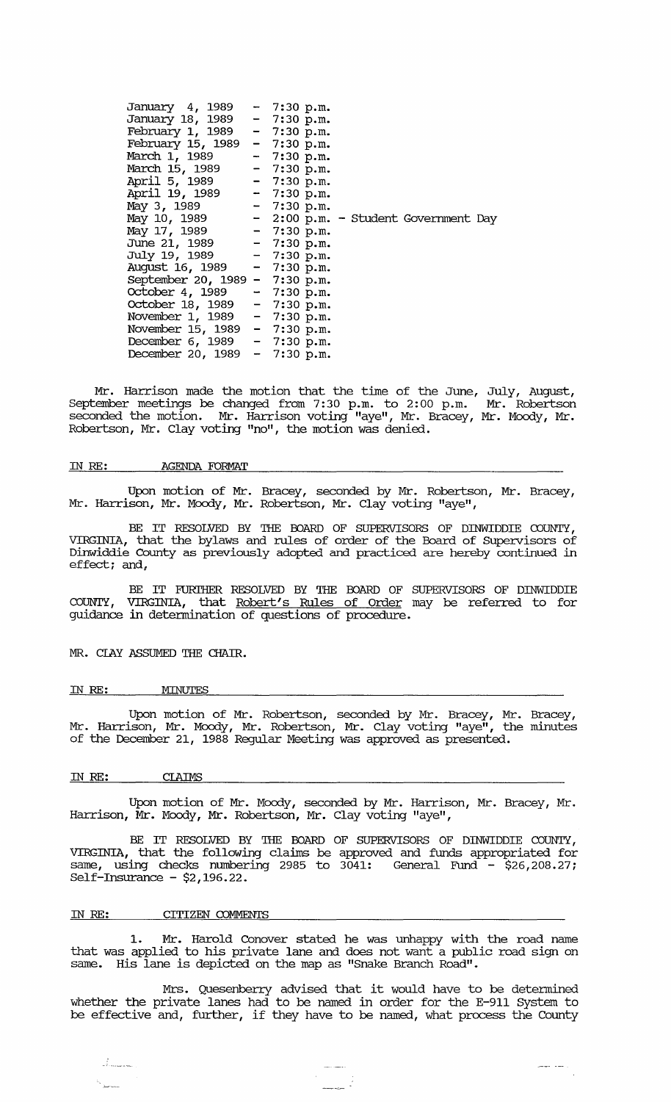| January 4, 1989                | $-7:30 p.m.$                             |
|--------------------------------|------------------------------------------|
| January 18, 1989               | $-7:30 p.m.$                             |
| February 1, 1989               | $-7:30 p.m.$                             |
| February 15, 1989              | $-7:30 p.m.$                             |
| March 1, 1989                  | $-7:30 p.m.$                             |
| March 15, 1989                 | $-7:30 p.m.$                             |
| April 5, 1989                  | $-7:30 p.m.$                             |
| April 19, 1989                 | $-7:30 p.m.$                             |
| May 3, 1989                    | $-7:30 p.m.$                             |
| May 10, 1989                   | $-$ 2:00 p.m. $-$ Student Government Day |
| May 17, 1989 - 7:30 p.m.       |                                          |
| June 21, 1989                  | $-7:30 p.m.$                             |
| July 19, 1989                  | $-7:30 p.m.$                             |
| August 16, 1989                | $-7:30 p.m.$                             |
| September 20, 1989 - 7:30 p.m. |                                          |
| October 4, 1989                | $-7:30 p.m.$                             |
| October 18, 1989               | $-7:30 p.m.$                             |
| November 1, 1989               | $-7:30 p.m.$                             |
| November 15, 1989 - 7:30 p.m.  |                                          |
| December 6, 1989 - 7:30 p.m.   |                                          |
| December 20, 1989 - 7:30 p.m.  |                                          |
|                                |                                          |

Mr. Harrison made the motion that the time of the June, July, August, September meetings be changed from 7:30 p.m. to 2:00 p.m. Mr. Robertson seconded the motion. Mr. Harrison voting "aye", Mr. Bracey, Mr. Moody, Mr. Robertson, Mr. Clay voting "no", the motion was denied.

### IN RE: AGENDA FORMAT

Upon motion of Mr. Bracey, seconded by Mr. Robertson, Mr. Bracey, Mr. Harrison, Mr. Moody, Mr. Robertson, Mr. Clay voting "aye",

BE IT RESOLVED BY THE BOARD OF SUPERVISORS OF DINWIDDIE COUNTY, VIRGINIA, that the bylaws and rules of order of the Board of supervisors of Dinwiddie County as previously adopted and practiced are hereby continued in effect; and,

BE IT FURTHER RESOLVED BY THE BOARD OF SUPERVISORS OF DINWIDDIE COUNTY, VIRGINIA, that Robert's Rules of Order may be referred to for guidance in detennination of questions of procedure.

MR. CIAY ASSUMED THE CHAIR.

# IN RE: MINUTES

Upon motion of Mr. Robertson, seconded by Mr. Bracey, Mr. Bracey, Mr. Harrison, Mr. Moody, Mr. Robertson, Mr. Clay voting "aye", the minutes of the December 21, 1988 Regular Meeting was approved as presented.

#### IN RE: CLAIMS

 $\frac{2}{\sqrt{2}}$  , and  $\frac{2}{\sqrt{2}}$ 

Upon motion of Mr. Moody, seconded by Mr. Harrison, Mr. Bracey, Mr. Harrison, Mr. Moody, Mr. Robertson, Mr. Clay voting "aye",

BE IT RESOLVED BY THE BOARD OF SUPERVISORS OF DINWIDDIE COUNTY, VIRGINIA, that the following claims be approved and funds appropriated for same, using checks mnnbering 2985 to 3041: General Fund - \$26,208.27; Self-Insurance -  $$2,196.22$ .

### IN RE: CITIZEN COMMENTS

1. Mr. Harold Conover stated he was unhappy with the road name that was applied to his private lane and does not want a public road sign on same. His lane is depicted on the map as "Snake Branch Road".

Mrs. Quesenberry advised that it would have to be determined whether the private lanes had to be named in order for the E-911 System to be effective and, further, if they have to be named, what process the County

والمسار المحسر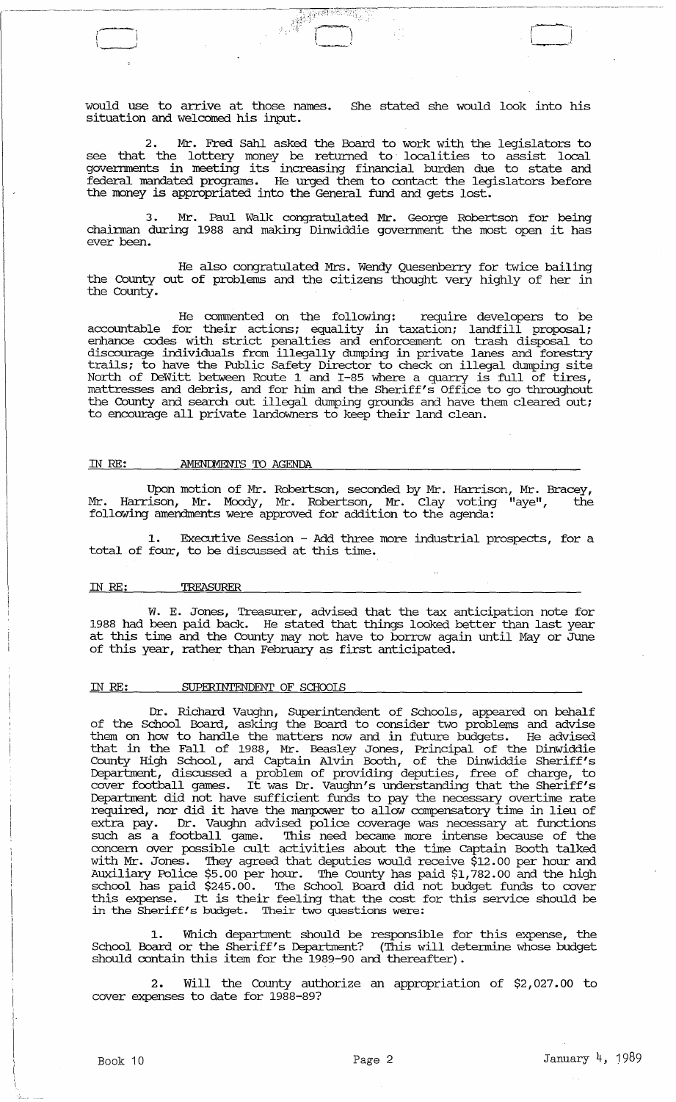would use to arrive at those names. situation and welcomed his input. She stated she would look into his

 $\frac{1}{\sqrt{2}}\int_0^1\frac{1}{2}\frac{1}{2}\left(\frac{\sqrt{2}}{2}\right)^2\left(\frac{\sqrt{2}}{2}\right)^2\left(\frac{\sqrt{2}}{2}\right)^2\left(\frac{\sqrt{2}}{2}\right)^2.$ 

 $\sqrt{ }$ .<br>استخدم**س**ت

2. Mr. Fred Sahl asked the Board to work with the legislators to see that the lottery money be returned to' localities to assist local governments in meeting its increasing financial burden due to state and federal mandated programs. He urged them to contact the legislators before the money is appropriated into the General ftmd and gets lost.

3. Mr. Paul Walk congratulated Mr. George Robertson for being<br>chairman during 1988 and making Dinwiddie government the most open it has ever been.

He also congratulated Mrs. Wendy Quesenberry for twice bailing the County out of problems and the citizens thought very highly of her in the county.

He commented on the following: require developers to be accountable for their actions; equality in taxation; landfill proposal; enhance codes with strict penalties and enforcement on trash disposal to discourage individuals from illegally dumping in private lanes and forestry trails; to have the Public Safety Director to check on illegal dumping site North of DeWitt between Route 1 and 1-85 where a quarry is full of tires, mattresses and debris, and for him and the Sheriff's Office to go throughout the County and search out illegal dumping grounds and have them cleared out; to encourage all private landowners to keep their land clean.

#### IN RE: AMENDMENTS TO AGENDA

Upon motion of Mr. Robertson, seconded by Mr. Harrison, Mr. Bracey, Mr. Harrison, Mr. Moody, Mr. Robertson, Mr. Clay voting "aye", the following amendments were approved for addition to the agenda:

1. Executive Session - Add three more industrial prospects, for a total of four, to be discussed at this time.

### IN RE: TREASURER

W. E. Jones, Treasurer, advised that the tax anticipation note for 1988 had been paid back. He stated that things looked better than last year at this time and the County may not have to borrow again until Mayor June of this year, rather than February as first anticipated.

# IN RE: SUPERINTENDENT OF SCHooIS

Dr. Richard Vaughn, Superintendent of Schools, appeared on behalf of the School Board, asking the Board to consider two problems and advise them on how to handle the matters now and in future budgets. He advised that in the Fall of 1988, Mr. Beasley Jones, Principal of the Dinwiddie County High School, and Captain Alvin Booth, of the Dinwiddie Sheriff's Deparbnent, discussed a problem of providing deputies, free of charge, to cover football games. It was Dr. Vaughn's understanding that the Sheriff's Deparbnent did not have sufficient ftmds to pay the necessary overtime rate required, nor did it have the manpower to allow compensatory time in lieu of extra pay. Dr. Vaughn advised police coverage was necessary at ftmctions such as a football game. This need became more intense because of the concern over possible cult activities about the time Captain Booth talked with Mr. Jones. They agreed that deputies would receive \$12.00 per hour and Auxiliary Police \$5.00 per hour. The County has paid \$1,782.00 and the high school has paid \$245.00. The School Board did not budget ftmds to cover school has paid  $\frac{1}{2}$  and  $\frac{1}{2}$  and the school board did hot budget funds to cover in the Sheriff's budget. Their two questions were:

1. Which department should be responsible for this expense, the School Board or the Sheriff's Deparbnent? (This will determine whose budget should contain this item for the 1989-90 and thereafter) .

2. Will the County authorize an appropriation of \$2,027.00 to cover expenses to date for 1988-89?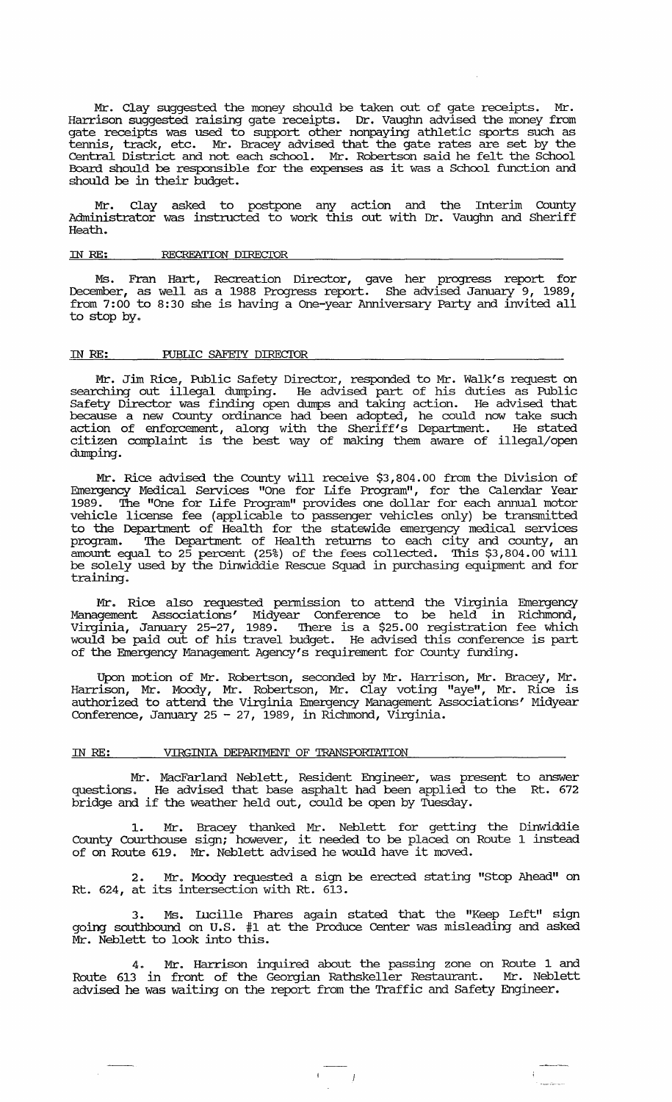Mr. Clay suggested the money should be taken out of gate receipts. Mr. Harrison suggested raising gate receipts. Dr. Vaughn advised the money from gate receipts was used to support other nonpaying athletic sports such as tennis, track, etc. Mr. Bracey advised that the gate rates are set by the Central District and not each school. Mr. Robertson said he felt the School Board should be responsible for the expenses as it was a School flmction and should be in their budget.

Mr. Clay asked to postpone any action and the Interim County Administrator was instructed to work this out with Dr. Vaughn and Sheriff Heath.

# IN *RE:* RECREATION DIRECIOR

Ms. Fran Hart, Recreation Director, gave her progress report for December, as well as a 1988 Progress report. She advised January 9, 1989, from 7:00 to 8:30 she is having a One-year Anniversary party and invited all to stop by.

### IN RE: PUBLIC SAFEIY DIRECTOR

Mr. Jim Rice, Public Safety Director, responded to Mr. Walk's request on searching out illegal dumping. He advised part of his duties as Public Safety Director was finding open dumps and taking action. He advised that because a new County ordinance had been adopted, he could now take such action of enforcement, along with the Sheriff's Department. He stated citizen complaint is the best way of making them aware of illegal/open dumping.

Mr. Rice advised the County will receive \$3,804.00 from the Division of Emergency Medical Services "One for Life Program", for the calendar Year 1989. The "One for Life Program" provides one dollar for each annual motor vehicle license fee (applicable to passenger vehicles only) be transmitted to the Department of Health for the statewide emergency medical services program. The Department of Health returns to each city and county, an amount equal to 25 percent (25%) of the fees collected. This \$3,804.00 will be solely used by the Dinwiddie Rescue Squad in purchasing equipment and for training.

Mr. Rice also requested permission to attend the Virginia Emergency Management Associations' Midyear Conference to be held in Richmond, Virginia, January 25-27, 1989. There is a \$25.00 registration fee which would be paid out of his travel budget. He advised this conference is part of the Emergency Management Agency's requirement for County flmding.

Upon motion of Mr. Robertson, seconded by Mr. Harrison, Mr. Bracey, Mr. Harrison, Mr. Moody, Mr. Robertson, Mr. Clay voting "aye", Mr. Rice is authorized to attend the Virginia Emergency Management Associations' Midyear Conference, January 25 - 27, 1989, in Richmond, Virginia.

#### IN RE: **VIRGINIA DEPARIMENT OF TRANSPORTATION**

Mr. MacFarland Neblett, Resident Engineer, was present to answer questions. He advised that base asphalt had been applied to the Rt. 672 bridge and if the weather held out, could be open by Tuesday.

1. Mr. Bracey thanked Mr. Neblett for getting the Dinwiddie County Courthouse sign; however, it needed to be placed on Route 1 instead of on Route 619. Mr. Neblett advised he would have it moved.

2. Mr. Moody requested a sign be erected stating "Stop Ahead" on Rt. 624, at its intersection with Rt. 613.

3. Ms. Illcille Phares again stated that the "Keep Left" sign going southbound on u.S. #1 at the Produce Center was misleading and asked Mr. Neblett to look into this.

Mr. Harrison inquired about the passing zone on Route 1 and Route 613 in front of the Georgian Rathskeller Restaurant. Mr. Neblett advised he was waiting on the report from the Traffic and Safety Engineer.

 $\left( \frac{1}{2} \right)$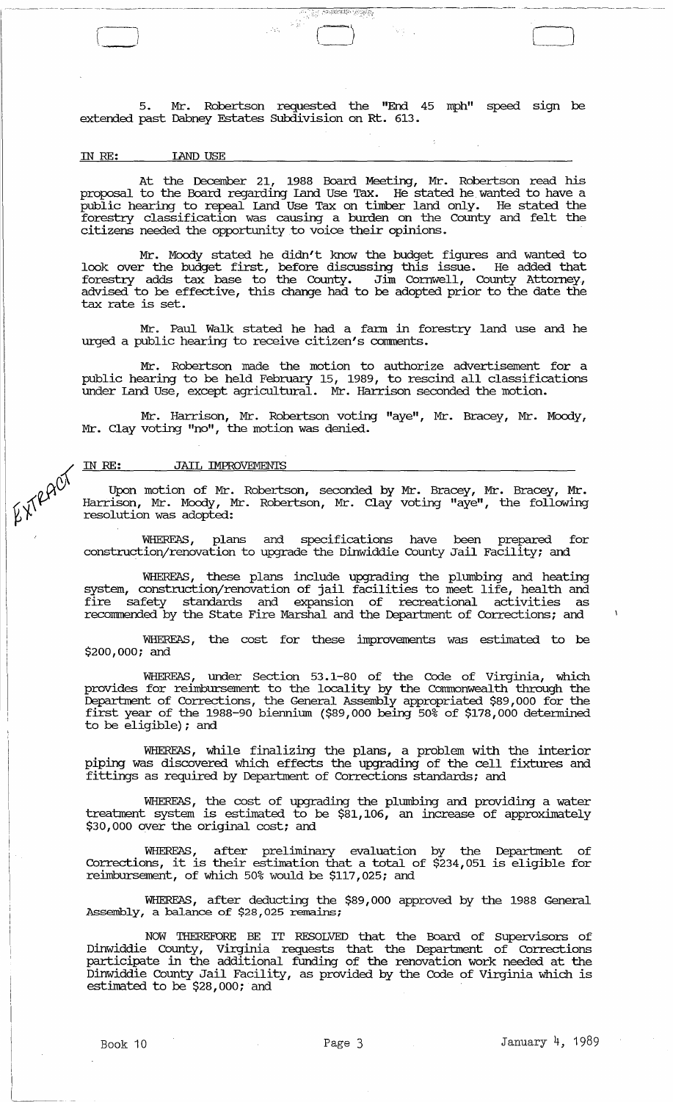5. Mr. Robertson requested the "End 45 mph" speed sign be extended past Dabney Estates Subdivision on Rt. 613.

स्कारियामा अस्ति हिन्दू<br>स्कारियामा अस्ति हिन्दू

in Ago

# IN RE: lAND USE

*r--* ,---)

At the December 21, 1988 Board Meeting, Mr. Robertson read his proposal to the Board regarding Land Use Tax. He stated he wanted to have a public hearing to repeal Land Use Tax on timber land only. He stated the forestry classification was causing a burden on the County and felt the citizens needed the opportunity.to voice their opinions.

Mr. Moody stated he didn't know the budget figures and wanted to look over the budget first, before discussing this issue. He added that forestry adds tax base to the County. Jim Cornwell, County Attorney, advised to be effective, this change had to be adopted prior to the date the tax rate is set.

Mr. Paul Walk stated he had a fann in forestry land use and he urged a public hearing to receive citizen's comments.

Mr. Robertson made the motion to authorize advertisement for a public hearing to be held February 15, 1989, to rescind all classifications under Land Use, except agricultural. Mr. Harrison seconded the motion.

Mr. Harrison, Mr. Robertson voting "aye", Mr. Bracey, Mr. Moody, Mr. Clay voting "no", the motion was denied.

# IN RE: JAIL IMPROVEMENTS

EXTRACT

Upon motion of Mr. Robertson, seconded by Mr. Bracey, Mr. Bracey, Mr. Harrison, Mr. Moody, Mr. Robertson, Mr. Clay voting "aye", the following resolution was adopted:

WHEREAS, plans and specifications have been prepared for construction/renovation to upgrade the Dinwiddie County Jail Facility; and

WHEREAS, these plans include upgrading the plumbing and heating system, construction/renovation of jail facilities to meet life, health and fire safety standards and expansion of recreational activities as recommended by the State Fire Marshal and the Department of Corrections; and

WHEREAS, the cost for these improvements was estimated to be \$200,000: and

WHEREAS, under section 53.1-80 of the Code of Virginia, which provides for reimbursement to the locality by the Corrrrnonwealth through the Department of Corrections, the General Assembly appropriated \$89,000 for the first year of the 1988-90 biennium (\$89,000 being 50% of \$178,000 determined to be eligible): and

WHEREAS, while finalizing the plans, a problem with the interior piping was discovered which effects the upgrading of the cell fixtures and fittings as required by Department of Corrections standards: and

WHEREAS, the cost of upgrading the plumbing and providing a water treabnent system is estimated to be \$81,106, an increase of approximately \$30,000 over the original cost: and

WHEREAS, after preliminary evaluation by the Department of Corrections, it is their estimation that a total of \$234,051 is eligible for reimbursement, of which 50% would be \$117,025: and

WHEREAS, after deducting the \$89,000 approved by the 1988 General Assembly, a balance of \$28,025 remains;

NOW THEREFORE BE IT RESOLVED that the Board of Supervisors of Dinwiddie County, Virginia requests that the Department of Corrections participate in the additional funding of the renovation work needed at the Dinwiddie County Jail Facility, as provided by the Code of Virginia which is estimated to be \$28,000: and

 $\sim$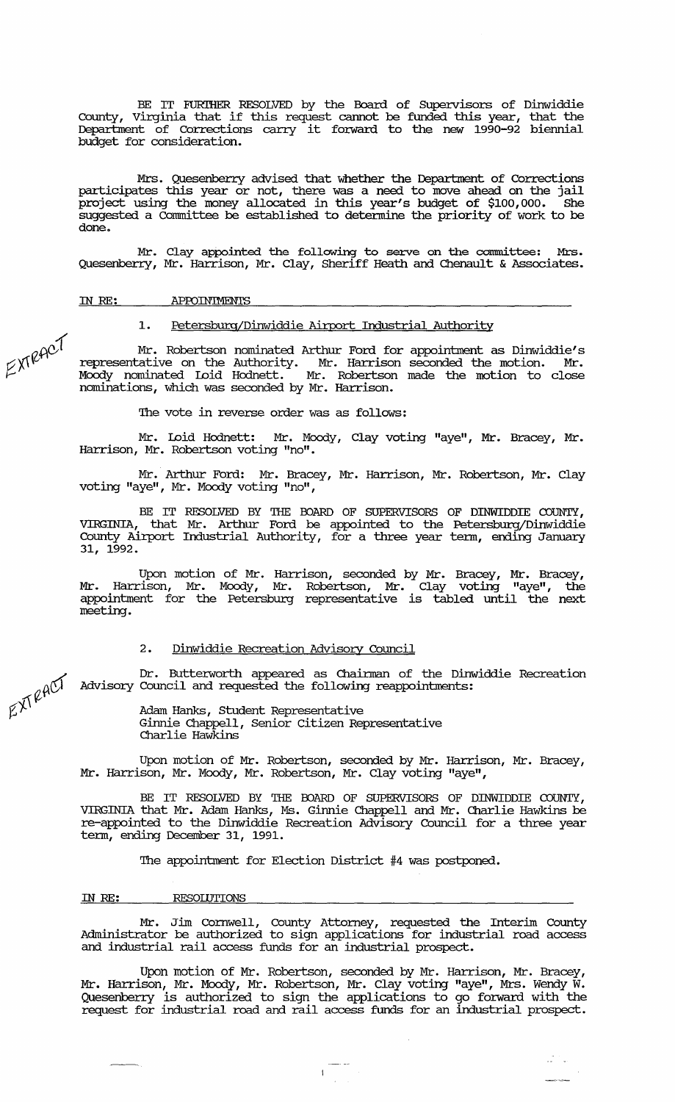BE IT FURIHER RESOLVED by the Board of SUpervisors of Dinwiddie County, Virginia that if this request cannot be funded this year, that the Councy, virginia diac if diffs request cannot be funded diffs year, diac die<br>Department of Corrections carry it forward to the new 1990-92 biennial budget for consideration.

Mrs. Quesenberry advised that whether the Department of Corrections participates this year or not, there was a need to move ahead on the jail project using the money allocated in this year's budget of \$100,000. She suggested a committee be established to detennine the priority of work to be done.

Mr. Clay appointed the following to serve on the committee: Mrs. Quesenberry, Mr. Harrison, Mr. Clay, Sheriff Heath and Chenault & Associates.

IN *RE:* APFOIN'IMENTS

# 1. Petersburg/Dinwiddie Airport Industrial Authority

Mr. Robertson nominated Arthur Ford for appointment as Dinwiddie's representative on the Authority. Mr. Harrison seconded the motion. Mr. Moody nominated Loid Hodnett. Mr. Robertson made the motion to close nominations, which was seconded by Mr. Harrison.

The vote in reverse order was as follows:

Mr. Loid Hodnett: Mr. Moody, Clay voting "aye", Mr. Bracey, Mr. Harrison, Mr. Robertson voting "no".

Mr. Arthur Ford: Mr. Bracey, Mr. Harrison, Mr. Robertson, Mr. Clay voting "aye", Mr. Moody voting "no",

BE IT RESOLVED BY THE BOARD OF SUPERVISORS OF DINWIDDIE COUNTY, VIRGINIA, that Mr. Arthur Ford be appointed to the Petersburg/Dinwiddie County Airport Industrial Authority, for a three year tenn, ending January 31, 1992.

Upon motion of Mr. Harrison, seconded by Mr. Bracey, Mr. Bracey, Mr. Harrison, Mr. Moody, Mr. Robertson, Mr. Clay voting "aye" , the appointment for the Petersburg representative is tabled until the next meeting.

# 2. Dinwiddie Recreation Advisory Council

Dr. Butterworth appeared as Chairman of the Dinwiddie Recreation Advisory Council and requested the following reappointments:

> Adam Hanks, Student Representative Ginnie Chappell, Senior Citizen Representative Charlie Hawkins

Upon motion of Mr. Robertson, seconded by Mr. Harrison, Mr. Bracey, Mr. Harrison, Mr. Moody, Mr. Robertson, Mr. Clay voting "aye",

BE IT RESOLVED BY THE BOARD OF SUPERVISORS OF DINWIDDIE COUNTY, VIRGINIA that Mr. Adam Hanks, Ms. Ginnie Chappell and Mr. Charlie Hawkins be re-appointed to the Dinwiddie Recreation Advisory Council for a three year term, ending December 31, 1991.

The appointment for Election District #4 was postponed.

#### IN *RE:* RESOIDTIONS

Mr. Jim Cornwell, County Attorney, requested the Interim County Administrator be authorized to sign applications for industrial road access and industrial rail access funds for an industrial prospect.

Upon motion of Mr. Robertson, seconded by Mr. Harrison, Mr. Bracey, Mr. Harrison, Mr. Moody, Mr. Robertson, Mr. Clay voting "aye", Mrs. Wendy W. Quesenberry is authorized to sign the applications to go fo:rward. with the request for industrial road and rail access funds for an industrial prospect.

uli v

 $\pi$ RAC<sup>1</sup> ~J\

 $A^{\bigcirc\Gamma}$  $\nabla$ . $\nabla$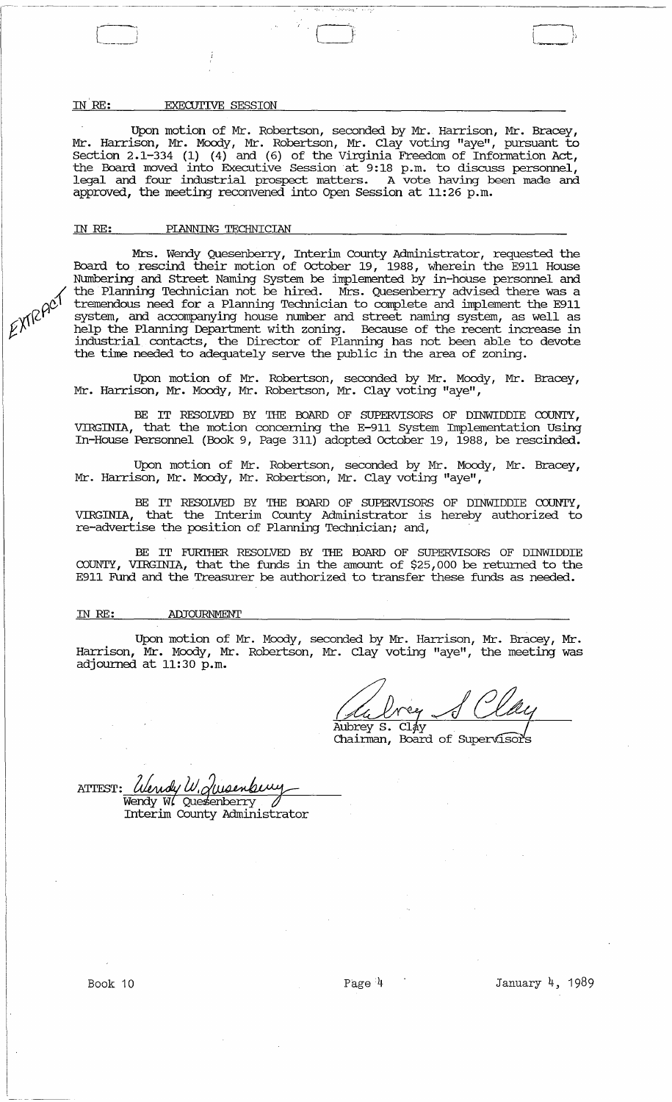# IN RE: EXECUTIVE SESSION

Upon motion of Mr. Robertson, seconded by Mr. Harrison, Mr. Bracey, Mr. Harrison, Mr. Moody, Mr. Robertson, Mr. Clay voting "aye", pursuant to Section 2.1-334 (1) (4) and (6) of the Virginia Freedom of Information Act, the Board moved into Executive Session at 9:18 p.m. to discuss personnel, legal and four industrial prospect matters. A vote having been made and approved, the meeting reconvened into Open Session at 11:26 p.m.

#### IN RE: PIANNING'TECHNICIAN

EXTRACT

Mrs. Wendy Quesenberry, Interim County Administrator, requested the Board to rescind their motion of October 19, 1988, wherein the E911 House Numbering and Street Naming System be implemented by in-house personnel and the Planning Teclmician not be hired. Mrs. Quesenberry advised there was a tremendous need for a Planning Technician to complete and implement the E911 system, and accompanying house number and street naming system, as well as help the Planning Department with zoning. Because of the recent increase in industrial contacts, the Director of Planning has not been able to devote the time needed to adequately serve the public in the area of zoning.

Upon motion of Mr. Robertson, seconded by Mr. Moody, Mr. Bracey, Mr. Harrison, Mr. Moody, Mr. Robertson, Mr. Clay voting "aye",

BE IT RESOLVED BY THE BOARD OF SUPERVISORS OF DINWIDDIE COUNTY, VIRGINIA, that the motion concerning the E-911 System Implementation Using In-House Personnel (Book 9, Page 311) adopted October 19, 1988, be rescinded.

Upon motion of Mr. Robertson, seconded by Mr. Moody, Mr. Bracey, Mr. Harrison, Mr. Moody, Mr. Robertson, Mr. Clay voting "aye",

BE IT RESOLVED BY THE BOARD OF SUPERVISORS OF DINWIDDIE COUNTY, VIRGINIA, that the Interim County Administrator is hereby authorized to re-advertise the position of Planning Technician; and,

BE IT FURIHER RESOLVED BY THE PDARD OF SUPERVISORS OF DINWIDDIE COUNTY, VIRGINIA, that the funds in the amount of \$25,000 be returned to the E911 Fund and the Treasurer be authorized to transfer these funds as needed.

### IN RE: ADJOURNMENT

Upon motion of Mr. Moody, seconded by Mr. Harrison, Mr. Bracey, Mr. Harrison, Mr. Moody, Mr. Robertson, Mr. Clay voting "aye", the meeting was adjourned at 11:30 p.m.

 $\overline{\text{Clav}}$ 

Aubrey S. Chairman, Board of Supervisor's

ATTEST: Wendy W. Jusenbury

Interim County Administrator